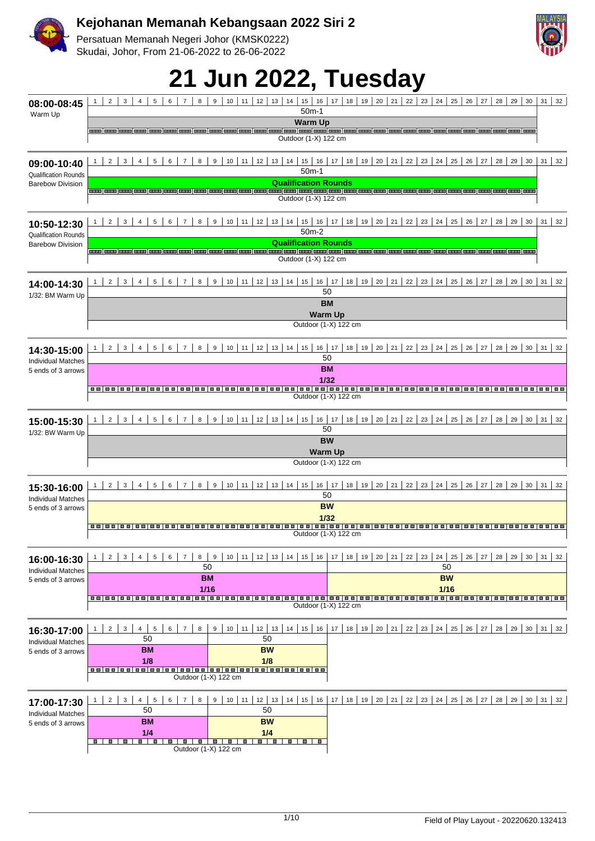

Persatuan Memanah Negeri Johor (KMSK0222) Skudai, Johor, From 21-06-2022 to 26-06-2022

|                                                 |                                                                                                                | <b>21 Jun 2022, Tuesday</b>                                                                                             |                                                                     |                                                                                                                      |
|-------------------------------------------------|----------------------------------------------------------------------------------------------------------------|-------------------------------------------------------------------------------------------------------------------------|---------------------------------------------------------------------|----------------------------------------------------------------------------------------------------------------------|
| 08:00-08:45                                     | $2^{\circ}$<br>3<br>$\overline{4}$<br>5<br>1<br>6  <br>$\overline{7}$<br>8                                     | 9<br>10 <sup>1</sup><br>11                                                                                              | 12   13   14   15   16   17   18   19   20   21   22   23   24      | 27<br>$28$ 29<br>30 <sup>1</sup><br>$31 \mid 32$<br>$25 \mid 26 \mid$                                                |
| Warm Up                                         |                                                                                                                | $50m-1$<br><b>Warm Up</b><br>Outdoor (1-X) 122 cm                                                                       |                                                                     |                                                                                                                      |
| 09:00-10:40<br><b>Qualification Rounds</b>      | 2 <sup>1</sup><br>3 <sup>1</sup><br>$4 \mid$<br>5 <sup>1</sup><br>6 <sup>1</sup><br>7 <sup>1</sup><br>8<br>1   | 9   10   11  <br>$12$   13   14   15   16   17  <br>$50m-1$                                                             | 18   19   20   21   22   23   24   25   26                          | $31 \mid 32$<br>$27 \mid$<br>28<br>29<br>30 <sup>1</sup>                                                             |
| <b>Barebow Division</b>                         |                                                                                                                | <b>Qualification Rounds</b><br>Outdoor (1-X) 122 cm                                                                     |                                                                     |                                                                                                                      |
| 10:50-12:30<br><b>Qualification Rounds</b>      | 2 <sup>1</sup><br>3 <sup>1</sup><br>5 <sup>1</sup><br>$6 \mid$<br>$8 \mid$<br>$4 \mid$<br>7 I                  | 9   10   11   12   13   14   15   16   17   18   19   20   21   22   23   24   25   26   27   28   29   30  <br>$50m-2$ |                                                                     | $31 \mid 32$                                                                                                         |
| <b>Barebow Division</b>                         |                                                                                                                | <b>Qualification Rounds</b><br>Outdoor (1-X) 122 cm                                                                     |                                                                     |                                                                                                                      |
| 14:00-14:30<br>1/32: BM Warm Up                 | 2 <sup>1</sup><br>3 <sup>1</sup><br>5 <sup>1</sup><br>8 <sup>1</sup><br>$4 \mid$<br>$6 \mid$<br>7 <sup>1</sup> | $9   10   11   12   13   14   15   16   17  $<br>50                                                                     | 18   19   20   21   22   23   24   25   26   27                     | 28 29 30 31 32                                                                                                       |
|                                                 |                                                                                                                | <b>BM</b><br><b>Warm Up</b><br>Outdoor (1-X) 122 cm                                                                     |                                                                     |                                                                                                                      |
| 14:30-15:00<br><b>Individual Matches</b>        | $2^{\circ}$<br>3 <sup>1</sup><br>5<br>6<br>$\overline{7}$<br>8<br>$\overline{4}$                               | $10$ 11<br>9<br>50                                                                                                      | 12   13   14   15   16   17   18   19   20   21   22   23   24      | $25 \mid 26 \mid 27 \mid$<br>$28$ 29<br>$30 \mid 31 \mid 32$                                                         |
| 5 ends of 3 arrows                              |                                                                                                                | <b>BM</b><br>1/32                                                                                                       |                                                                     |                                                                                                                      |
| 15:00-15:30                                     | $2^{\circ}$<br>3 <sup>1</sup><br>$\overline{4}$<br>5<br>6<br>$\overline{7}$<br>8                               | Outdoor (1-X) 122 cm<br>9 <sup>1</sup><br>10 <sup>1</sup><br>$12$ 13 14 15<br>11                                        | $16$   17  <br>18                                                   | 19   20   21   22   23   24   25   26   27   28   29  <br>$30 \mid 31 \mid 32$                                       |
| 1/32: BW Warm Up                                |                                                                                                                | 50<br><b>BW</b><br>Warm Up                                                                                              |                                                                     |                                                                                                                      |
|                                                 |                                                                                                                | Outdoor (1-X) 122 cm                                                                                                    |                                                                     |                                                                                                                      |
| 15:30-16:00                                     | 2 <sup>1</sup><br>3 <sup>7</sup><br>4<br>5<br>$6-1$<br>7 <sup>1</sup><br>8                                     | 10   11   12   13   14   15  <br>9<br>16<br>50                                                                          | 17<br>18                                                            | 19   20   21   22   23   24   25   26   27   28   29   30   31   32                                                  |
| <b>Individual Matches</b><br>5 ends of 3 arrows |                                                                                                                | <b>BW</b><br>1/32                                                                                                       |                                                                     |                                                                                                                      |
|                                                 |                                                                                                                | Outdoor (1-X) 122 cm                                                                                                    |                                                                     |                                                                                                                      |
| 16:00-16:30<br><b>Individual Matches</b>        | 3 <sup>1</sup><br>5 <sup>1</sup><br>$6 \mid$<br>2 <sup>1</sup><br>4 <sup>1</sup><br><b>7</b>  <br>8            | 9<br>50                                                                                                                 | 10   11   12   13   14   15   16   17   18   19   20   21   22   23 | 24   25   26   27   28   29   30   31   32<br>50                                                                     |
| 5 ends of 3 arrows                              |                                                                                                                | BM<br>1/16                                                                                                              |                                                                     | <b>BW</b><br>1/16                                                                                                    |
|                                                 |                                                                                                                | Outdoor (1-X) 122 cm                                                                                                    |                                                                     |                                                                                                                      |
| 16:30-17:00<br><b>Individual Matches</b>        | $2 \mid 3 \mid$<br>5<br>$6 \mid 7 \mid 8$<br>$4 \mid$<br>1<br>50                                               | 50                                                                                                                      |                                                                     | 9   10   11   12   13   14   15   16   17   18   19   20   21   22   23   24   25   26   27   28   29   30   31   32 |
| 5 ends of 3 arrows                              | <b>BM</b><br>1/8                                                                                               | <b>BW</b><br>1/8<br>Outdoor (1-X) 122 cm                                                                                |                                                                     |                                                                                                                      |
|                                                 |                                                                                                                |                                                                                                                         |                                                                     |                                                                                                                      |
| 17:00-17:30<br><b>Individual Matches</b>        | 2 <sup>1</sup><br>3 <sup>1</sup><br>4<br>5<br>6<br>8<br>50                                                     | 9 I<br>$10$ 11<br>50                                                                                                    |                                                                     | 12   13   14   15   16   17   18   19   20   21   22   23   24   25   26   27   28   29   30   31   32               |
| 5 ends of 3 arrows                              | BM<br>1/4                                                                                                      | <b>BW</b><br>1/4                                                                                                        |                                                                     |                                                                                                                      |
|                                                 | .                                                                                                              | -------<br>Outdoor (1-X) 122 cm                                                                                         |                                                                     |                                                                                                                      |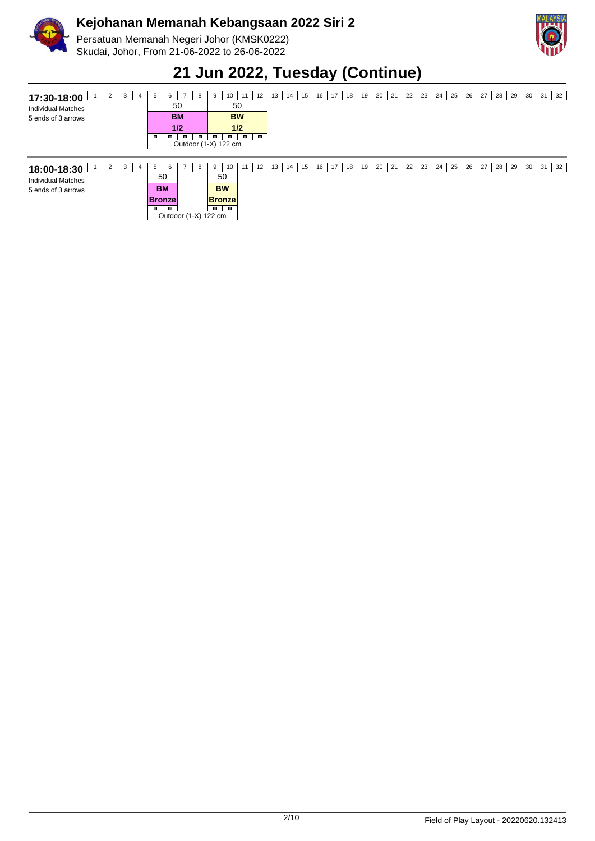

Persatuan Memanah Negeri Johor (KMSK0222) Skudai, Johor, From 21-06-2022 to 26-06-2022



### **21 Jun 2022, Tuesday (Continue)**

|  | <b>17:30-18:00</b> $1 \ 2 \ 3 \ 4 \ 5 \ 6 \ 7 \ 8 \ 9 \ 10 \ 11 \ 12 \ 13 \ 14 \ 15 \ 16 \ 17 \ 18 \ 19 \ 20 \ 21 \ 22 \ 23 \ 24 \ 25 \ 26 \ 27 \ 28 \ 29 \ 30 \ 31 \ 32$ |  |
|--|---------------------------------------------------------------------------------------------------------------------------------------------------------------------------|--|
|  |                                                                                                                                                                           |  |

|  |                        | п |  |                                                |
|--|------------------------|---|--|------------------------------------------------|
|  |                        |   |  |                                                |
|  | 50<br><b>BM</b><br>1/2 |   |  | 50<br><b>BW</b><br>1/2<br>Outdoor (1-X) 122 cm |

| ົ<br>-3<br>18:00-18:30<br>▵ | 6<br>5    | 8                    | 10 <sup>1</sup><br>9           | 12<br>11 | $13$ 14 15 | 16   17   18   19   20   21   22   23   24   25   26   27   28 |  |  |  |  |  | 29 | 30 | 31 | 32 |
|-----------------------------|-----------|----------------------|--------------------------------|----------|------------|----------------------------------------------------------------|--|--|--|--|--|----|----|----|----|
| <b>Individual Matches</b>   | 50        |                      | 50                             |          |            |                                                                |  |  |  |  |  |    |    |    |    |
| 5 ends of 3 arrows          | <b>BM</b> |                      | <b>BW</b>                      |          |            |                                                                |  |  |  |  |  |    |    |    |    |
|                             | ∣Bronzel  |                      | <b>Bronze</b>                  |          |            |                                                                |  |  |  |  |  |    |    |    |    |
|                             |           | Outdoor (1-X) 122 cm | $\mathbf{r}$<br>$\blacksquare$ |          |            |                                                                |  |  |  |  |  |    |    |    |    |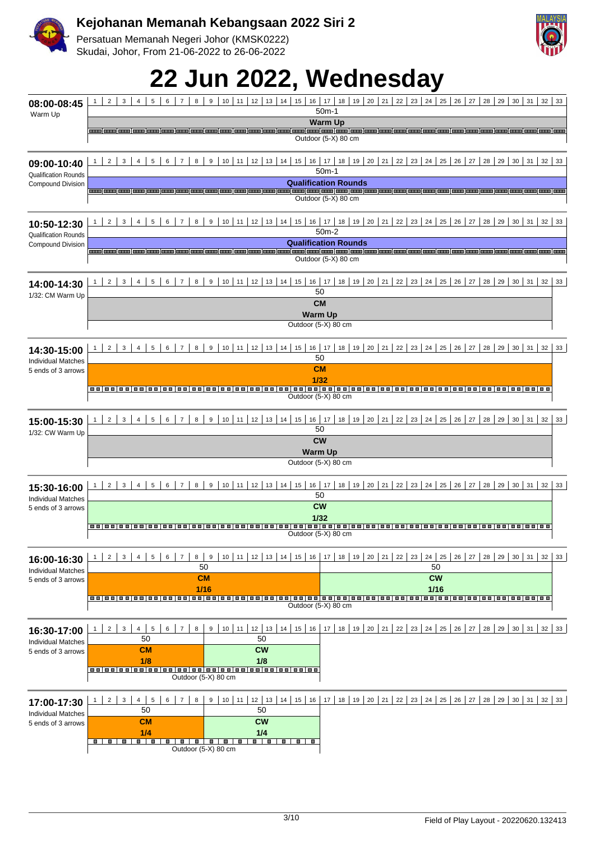

Persatuan Memanah Negeri Johor (KMSK0222) Skudai, Johor, From 21-06-2022 to 26-06-2022

# **22 Jun 2022, Wednesday**

| 08:00-08:45<br>Warm Up                                  | $\overline{2}$<br>3<br>5<br>6<br>8<br>9<br>10 <sup>1</sup><br>11<br>$12$   13   14  <br>15<br>$\overline{4}$<br>$\overline{7}$       | s<br>24<br>26<br>$16$   17  <br>18<br>$19 \mid 20 \mid$<br>$21 \mid$<br>22<br>23<br>25<br>27<br>28<br>29<br>30 <sup>1</sup><br>$31 \vert$<br>32<br>33<br>$50m-1$ |
|---------------------------------------------------------|--------------------------------------------------------------------------------------------------------------------------------------|------------------------------------------------------------------------------------------------------------------------------------------------------------------|
|                                                         |                                                                                                                                      | <b>Warm Up</b>                                                                                                                                                   |
|                                                         |                                                                                                                                      | Outdoor (5-X) 80 cm                                                                                                                                              |
| 09:00-10:40<br><b>Qualification Rounds</b>              | 8 <sup>1</sup><br>$\overline{2}$<br>3<br>$\overline{4}$<br>$5^{\circ}$<br>$6\overline{6}$<br>$\overline{7}$                          | 9   10   11   12   13   14   15   16   17   18   19   20   21   22   23   24   25   26   27   28   29   30   31  <br>$32 \mid 33$<br>$50m-1$                     |
| <b>Compound Division</b>                                |                                                                                                                                      | <b>Qualification Rounds</b>                                                                                                                                      |
|                                                         |                                                                                                                                      | Outdoor (5-X) 80 cm                                                                                                                                              |
| 10:50-12:30                                             | $\mathbf{3}$<br>5 <sup>1</sup><br>$6-1$<br>$\overline{7}$<br>8 <sup>1</sup><br>2 <sup>1</sup><br>4                                   | 9   10   11   12   13   14   15   16   17   18   19   20   21   22   23   24   25   26   27   28   29   30   31   32   33<br>$50m-2$                             |
| <b>Qualification Rounds</b><br><b>Compound Division</b> |                                                                                                                                      | <b>Qualification Rounds</b>                                                                                                                                      |
|                                                         |                                                                                                                                      | am (am (am )am )am (am )am )am )am )am (am )am (am )am )am )am )am (am )am )am )am )am (am )am )am )am )am )am<br>Outdoor (5-X) 80 cm                            |
| 14:00-14:30                                             | $6 \mid$<br>$7^{\circ}$<br>8 <sup>1</sup><br>2 <sup>1</sup><br>$\mathbf{3}$<br>4<br>$5-1$                                            | 9   10   11   12   13   14   15   16   17   18   19   20   21   22   23   24   25   26   27   28   29   30   31   32<br>33<br>50                                 |
| 1/32: CM Warm Up                                        |                                                                                                                                      | <b>CM</b>                                                                                                                                                        |
|                                                         |                                                                                                                                      | <b>Warm Up</b>                                                                                                                                                   |
|                                                         |                                                                                                                                      | Outdoor (5-X) 80 cm                                                                                                                                              |
| 14:30-15:00<br><b>Individual Matches</b>                | $9   10   11   12   13   14   15   16   17$<br>$2^{\circ}$<br>3<br>$\overline{4}$<br>5<br>6<br>$\overline{7}$<br>8                   | $20 \mid 21 \mid$<br>22<br>$23 \mid$<br>24<br>25<br>26<br>27<br>28<br>29<br>30 <sup>1</sup><br>31<br>18<br>19<br>32<br>33<br>50                                  |
| 5 ends of 3 arrows                                      |                                                                                                                                      | <b>CM</b>                                                                                                                                                        |
|                                                         | ------------------------<br>88 E I                                                                                                   | 1/32                                                                                                                                                             |
|                                                         |                                                                                                                                      | Outdoor (5-X) 80 cm                                                                                                                                              |
| 15:00-15:30<br>1/32: CW Warm Up                         | 9<br>10 <sup>1</sup><br>11<br>12 <sup>1</sup><br>$\overline{2}$<br>3<br>5<br>6<br>$\overline{7}$<br>8<br>13 <sup>1</sup><br>14<br>15 | $16$   17<br>20 <sup>1</sup><br>21<br>22<br>23<br>24<br>25<br>27<br>28<br>29<br>30 <sup>1</sup><br>$31 \vert$<br>18<br>19<br>26<br>32<br>33<br>50                |
|                                                         |                                                                                                                                      | <b>CW</b>                                                                                                                                                        |
|                                                         |                                                                                                                                      | <b>Warm Up</b><br>Outdoor (5-X) 80 cm                                                                                                                            |
|                                                         |                                                                                                                                      |                                                                                                                                                                  |
| 15:30-16:00                                             | $12$ 13 14<br>8<br>9<br>10 <sup>1</sup><br>11<br>15<br>16<br>$\overline{2}$<br>3<br>$\overline{4}$<br>5<br>6<br>$\overline{7}$       | $20 \mid 21 \mid$<br>22<br>$23 \mid 24 \mid 25 \mid$<br>17<br>18<br>19<br>26<br>$27 \mid 28 \mid 29 \mid$<br>$30 \mid 31 \mid$<br>32<br>33<br>50                 |
| <b>Individual Matches</b><br>5 ends of 3 arrows         |                                                                                                                                      | <b>CW</b>                                                                                                                                                        |
|                                                         |                                                                                                                                      | 1/32                                                                                                                                                             |
|                                                         |                                                                                                                                      | Outdoor (5-X) 80 cm                                                                                                                                              |
| 16:00-16:30                                             | 5 <sup>1</sup><br>$6 \mid 7 \mid$<br>2<br>3 <sup>1</sup><br>4 <sup>1</sup>                                                           | 8 9 10 11 12 13 14 15 16 17 18 19 20 21 22 23 24 25 26 27 28 29 30 31<br>$32 \mid$<br>33                                                                         |
| <b>Individual Matches</b>                               | 50                                                                                                                                   | 50<br><b>CW</b>                                                                                                                                                  |
| 5 ends of 3 arrows                                      | <b>CM</b><br>1/16                                                                                                                    | 1/16                                                                                                                                                             |
|                                                         |                                                                                                                                      | Outdoor (5-X) 80 cm                                                                                                                                              |
|                                                         |                                                                                                                                      |                                                                                                                                                                  |
| 16:30-17:00                                             | 6<br>8<br>2 <sup>1</sup><br>$\mathbf{3}$<br>$4 \mid$<br>$5\overline{5}$<br>7                                                         | 9   10   11   12   13   14   15   16   17   18   19   20   21   22   23   24   25   26   27   28   29   30   31   32   33                                        |
| <b>Individual Matches</b>                               | 50<br>50<br><b>CW</b>                                                                                                                |                                                                                                                                                                  |
| 5 ends of 3 arrows                                      | <b>CM</b><br>1/8<br>1/8                                                                                                              |                                                                                                                                                                  |
|                                                         | Outdoor (5-X) 80 cm                                                                                                                  |                                                                                                                                                                  |
| 17:00-17:30                                             | 2 <sup>1</sup><br>3 <sup>1</sup><br>$4 \mid$<br>$\sqrt{5}$<br>6<br>$\overline{7}$<br>8<br>1                                          | 9   10   11   12   13   14   15   16   17   18   19   20   21   22   23   24   25   26   27   28   29   30   31   32   33                                        |
| <b>Individual Matches</b>                               | 50<br>50                                                                                                                             |                                                                                                                                                                  |
| 5 ends of 3 arrows                                      | <b>CW</b><br><b>CM</b>                                                                                                               |                                                                                                                                                                  |
|                                                         | 1/4<br>1/4<br><b>.</b><br>$\blacksquare$<br>$\blacksquare$<br><b>B B B</b><br>$\blacksquare$<br>.<br>$\blacksquare$                  |                                                                                                                                                                  |
|                                                         | Outdoor (5-X) 80 cm                                                                                                                  |                                                                                                                                                                  |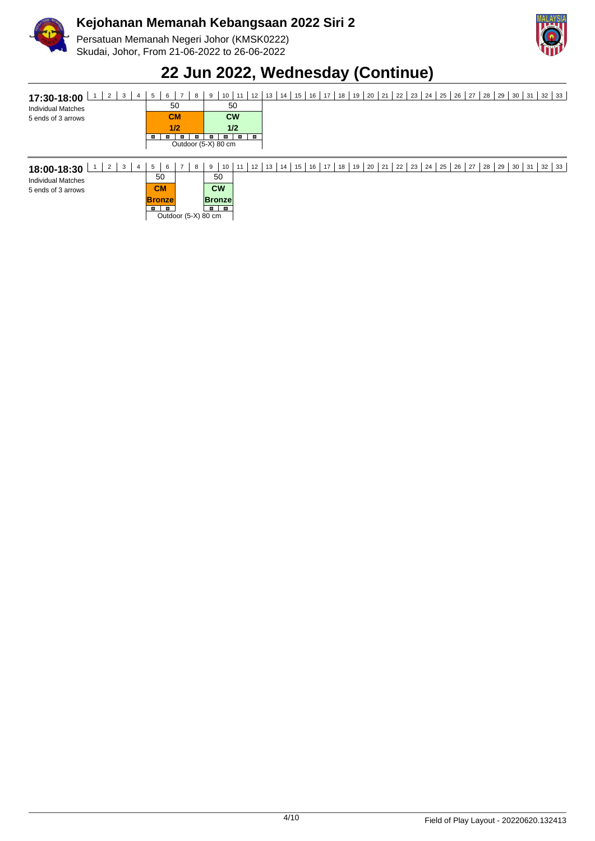

Persatuan Memanah Negeri Johor (KMSK0222) Skudai, Johor, From 21-06-2022 to 26-06-2022



### **22 Jun 2022, Wednesday (Continue)**

| 17:30-18:00               |  |     |  | -9 | 10 <sup>1</sup>     | 11        |  | 12   13   14   15   16   17   18   19   20   21   22   23   24   25   26   27   28   29   30   31   32 |  |  |  |  |  |  |  |  |  | 33 |
|---------------------------|--|-----|--|----|---------------------|-----------|--|--------------------------------------------------------------------------------------------------------|--|--|--|--|--|--|--|--|--|----|
| <b>Individual Matches</b> |  | 50  |  |    |                     | 50        |  |                                                                                                        |  |  |  |  |  |  |  |  |  |    |
| 5 ends of 3 arrows        |  | CM  |  |    |                     | <b>CW</b> |  |                                                                                                        |  |  |  |  |  |  |  |  |  |    |
|                           |  | 1/2 |  |    |                     | 1/2       |  |                                                                                                        |  |  |  |  |  |  |  |  |  |    |
|                           |  |     |  |    |                     |           |  |                                                                                                        |  |  |  |  |  |  |  |  |  |    |
|                           |  |     |  |    | Outdoor (5-X) 80 cm |           |  |                                                                                                        |  |  |  |  |  |  |  |  |  |    |

| 2<br>-3<br>18:00-18:30    | 6<br>$\mathbf b$ | 8                   | 10<br>9        | 12<br>11 | 13 | 15<br>14 | 16 | 17<br>18 | 19 | $20 \mid 21 \mid$ | 22 | 23 | $24$ 25 | 26 | , 27 ' | 28 | 29 | 30 | 31 | 32 | 33 |
|---------------------------|------------------|---------------------|----------------|----------|----|----------|----|----------|----|-------------------|----|----|---------|----|--------|----|----|----|----|----|----|
| <b>Individual Matches</b> | 50               |                     | 50             |          |    |          |    |          |    |                   |    |    |         |    |        |    |    |    |    |    |    |
| 5 ends of 3 arrows        | <b>CM</b>        |                     | <b>CW</b>      |          |    |          |    |          |    |                   |    |    |         |    |        |    |    |    |    |    |    |
|                           | <b>Bronze</b>    |                     | <b>Bronze</b>  |          |    |          |    |          |    |                   |    |    |         |    |        |    |    |    |    |    |    |
|                           |                  | Outdoor (5-X) 80 cm | $\blacksquare$ |          |    |          |    |          |    |                   |    |    |         |    |        |    |    |    |    |    |    |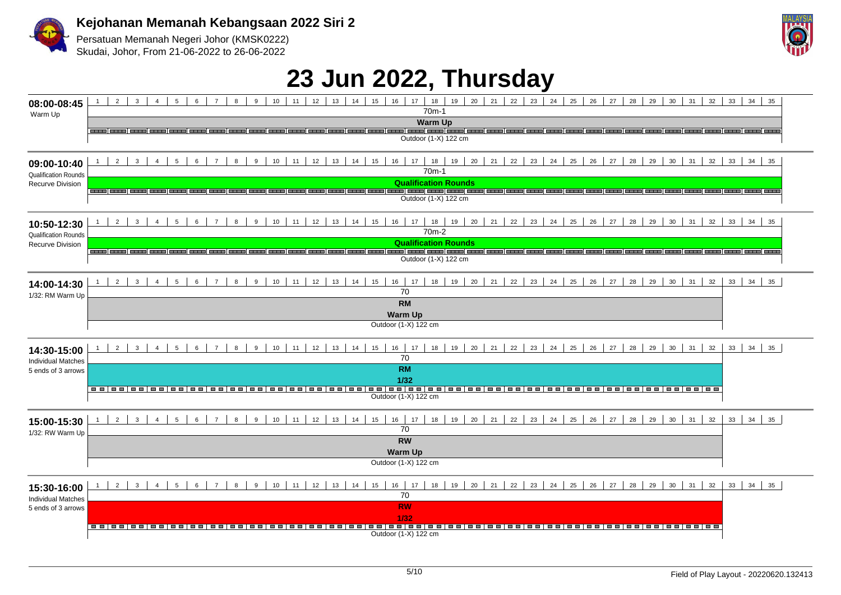

Persatuan Memanah Negeri Johor (KMSK0222) Skudai, Johor, From 21-06-2022 to 26-06-2022



## **23 Jun 2022, Thursday**

| 08:00-08:45<br>Warm Up                          | 1   2   3   4   5   6   7   8   9   10   11   12   13   14   15   16   17   18   19   20   21   22   23   24   25   26   27   28  <br>29<br>$30 \mid 31 \mid$<br>$32 \mid 33 \mid 34 \mid 35$<br>$70m-1$                                                                                          |
|-------------------------------------------------|---------------------------------------------------------------------------------------------------------------------------------------------------------------------------------------------------------------------------------------------------------------------------------------------------|
|                                                 | <b>Warm Up</b>                                                                                                                                                                                                                                                                                    |
|                                                 | Outdoor (1-X) 122 cm                                                                                                                                                                                                                                                                              |
| 09:00-10:40<br><b>Qualification Rounds</b>      | $2-1$<br>10<br>22<br>23<br>24<br>25<br>26<br>27<br>29<br>30 <sup>°</sup><br>$3-1$<br>4<br>$5-1$<br>6<br>$\overline{7}$<br>8<br>9<br>11<br>12<br>13<br>14<br>17<br>19<br>20<br>21<br>28<br>31<br>32<br>33<br>$34$ 35<br>15<br>16<br>18<br>70 <sub>m</sub> -1                                       |
| Recurve Division                                | <b>Qualification Rounds</b><br>Outdoor (1-X) 122 cm                                                                                                                                                                                                                                               |
| 10:50-12:30                                     | $22 \mid 23 \mid$<br>24<br>2 <sup>1</sup><br>3 <sup>1</sup><br>8<br>10<br>19 20<br>25<br>26<br>27<br>28<br>29<br>30<br>31<br>32<br>$\overline{4}$<br>5 <sup>5</sup><br>6<br>$\overline{7}$<br>9<br>11<br>12<br>13<br>14<br>15<br>16<br>17<br>18<br>21<br>33<br>$34 \mid 35$<br>70 <sub>m</sub> -2 |
| <b>Qualification Rounds</b><br>Recurve Division | <b>Qualification Rounds</b><br>وصحبه إجبعته إجسمه إحسبه إجسمه إجسمه إجسمه إجسمه إجسمه إجسمه إجسمه<br>Outdoor (1-X) 122 cm                                                                                                                                                                         |
| 14:00-14:30<br>1/32: RM Warm Up                 | $2 \mid 3 \mid 4 \mid 5 \mid 6 \mid 7 \mid$<br>18   19   20   21   22   23   24   25   26   27<br>$8 \mid$<br>10<br>29<br>$30 \mid 31$<br>9<br>11<br>12<br>13<br>14<br>15<br>16 17<br>28<br>32<br>$33 \mid 34 \mid 35$<br>70<br><b>RM</b>                                                         |
|                                                 | <b>Warm Up</b><br>Outdoor (1-X) 122 cm                                                                                                                                                                                                                                                            |
| 14:30-15:00<br><b>Individual Matches</b>        | $2 \mid 3 \mid 4 \mid 5 \mid 6 \mid 7 \mid$<br>8<br>9<br>16   17   18   19   20   21   22   23   24   25   26   27  <br>$10$ 11<br>12<br>$13$ 14 15<br>28<br>29 30 31<br>32<br>$33 \mid 34 \mid 35$<br>70                                                                                         |
| 5 ends of 3 arrows                              | <b>RM</b><br>1/32                                                                                                                                                                                                                                                                                 |
|                                                 | Outdoor (1-X) 122 cm                                                                                                                                                                                                                                                                              |
| 15:00-15:30<br>1/32: RW Warm Up                 | $5 \mid$<br>$\overline{2}$<br>$\overline{\mathbf{3}}$<br>$4 \mid$<br>$6\overline{6}$<br>$\overline{7}$<br>8<br>9<br>10<br>11<br>12<br>13<br>14<br>15<br>16<br>20<br>21<br>22<br>23<br>24<br>25<br>26<br>27<br>28<br>29<br>30<br>31<br>32<br>33<br>34<br>17<br>18<br>19<br>35<br>70                |
|                                                 | <b>RW</b><br><b>Warm Up</b><br>Outdoor (1-X) 122 cm                                                                                                                                                                                                                                               |
| 15:30-16:00                                     | $\overline{2}$<br>$6\overline{6}$<br>10<br>16<br>20<br>21<br>22<br>23<br>24<br>25<br>26<br>27<br>28<br>29<br>30<br>31<br>32<br>33<br>34<br>3<br>$\overline{4}$<br>5<br>$\overline{7}$<br>8<br>9<br>11<br>12<br>13<br>15<br>17<br>18<br>19<br>35<br>14<br>70                                       |
| <b>Individual Matches</b><br>5 ends of 3 arrows | <b>RW</b><br>1/32<br> -- -- -- -- -- -- --<br>Outdoor (1-X) 122 cm                                                                                                                                                                                                                                |
|                                                 |                                                                                                                                                                                                                                                                                                   |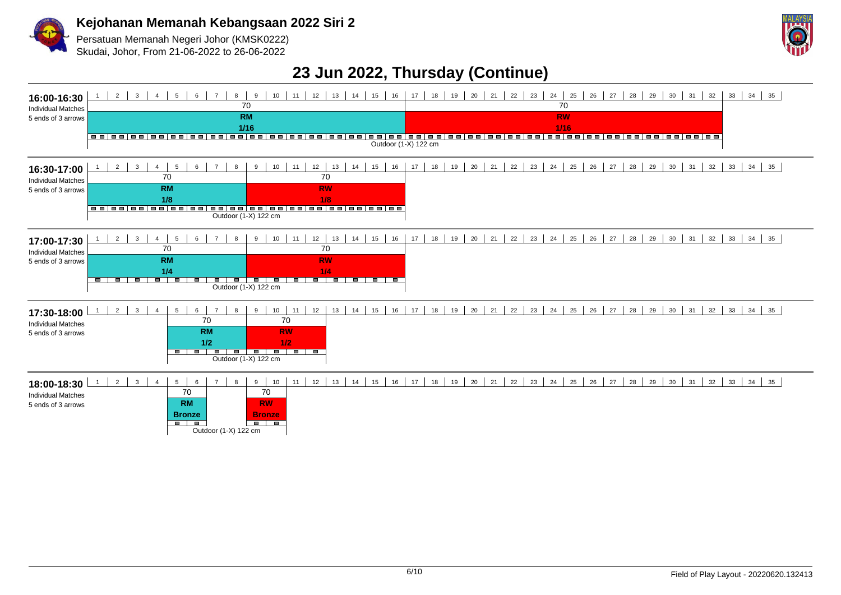

Persatuan Memanah Negeri Johor (KMSK0222)

Skudai, Johor, From 21-06-2022 to 26-06-2022



#### **23 Jun 2022, Thursday (Continue)**

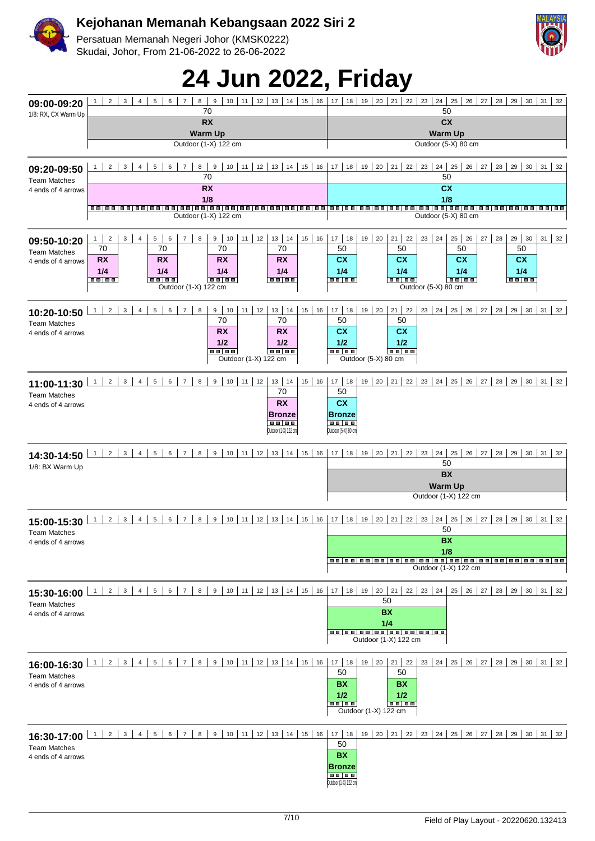

Persatuan Memanah Negeri Johor (KMSK0222) Skudai, Johor, From 21-06-2022 to 26-06-2022



# **24 Jun 2022, Friday**

| 09:00-09:20                               | $\overline{2}$<br>3<br>5<br>$6-1$<br>8<br>$\boldsymbol{9}$<br>$10$ 11<br>12<br>13<br>14<br>15<br>16<br>$\overline{4}$<br>$\overline{7}$<br>$\mathbf{1}$<br>70              | 18<br>19<br>20<br>21<br>22<br>23<br>24<br>25<br>26<br>27<br>28<br>29<br>30<br>31<br>17<br>32<br>50                                       |
|-------------------------------------------|----------------------------------------------------------------------------------------------------------------------------------------------------------------------------|------------------------------------------------------------------------------------------------------------------------------------------|
| 1/8: RX, CX Warm Up                       | <b>RX</b>                                                                                                                                                                  | <b>CX</b>                                                                                                                                |
|                                           | <b>Warm Up</b><br>Outdoor (1-X) 122 cm                                                                                                                                     | <b>Warm Up</b><br>Outdoor (5-X) 80 cm                                                                                                    |
| 09:20-09:50<br><b>Team Matches</b>        | $12$   13   14   15  <br>$\overline{2}$<br>3<br>9<br>$10$   11  <br>16<br>$\overline{7}$<br>8 <sup>1</sup><br>5<br>6<br>70                                                 | 17<br>18<br>19<br>$20 \mid 21 \mid$<br>$22 \mid 23 \mid$<br>$24 \mid 25$<br>$26$   27  <br>28 29 30 31<br>32<br>50                       |
| 4 ends of 4 arrows                        | <b>RX</b>                                                                                                                                                                  | <b>CX</b>                                                                                                                                |
|                                           | 1/8<br>Outdoor (1-X) 122 cm                                                                                                                                                | 1/8<br>Outdoor (5-X) 80 cm                                                                                                               |
| 09:50-10:20                               | 13   14   15<br>12<br>16<br>$\overline{2}$<br>3<br>5 <sup>1</sup><br>9<br>10 <sup>1</sup><br>11<br>$\overline{4}$<br>6<br>$\overline{7}$<br>8<br>1<br>70<br>70<br>70<br>70 | $20 \mid 21 \mid 22$<br>$17$ 18<br>19<br>$23 \mid 24 \mid$<br>27<br>28<br>29 30<br>$31 \quad 32$<br>$25 \mid 26$<br>50<br>50<br>50<br>50 |
| <b>Team Matches</b><br>4 ends of 4 arrows | <b>RX</b><br><b>RX</b><br><b>RX</b><br><b>RX</b><br>1/4<br>1/4<br>1/4<br>1/4<br><b>BB 88</b><br>88 88<br><b>BB BB</b><br>88 88<br>Outdoor (1-X) 122 cm                     | <b>CX</b><br>cx<br>cx<br>cx<br>1/4<br>1/4<br>1/4<br>1/4<br><b>BB 88</b><br>88 88<br><b>BB 88</b><br>88   88<br>Outdoor (5-X) 80 cm       |
| 10:20-10:50                               | $13   14$<br>$11$ 12<br>15<br>16<br>$\overline{2}$<br>3<br>5<br>$6-1$<br>7 <sup>1</sup><br>8<br>9   10  <br>$\overline{4}$<br>$\mathbf{1}$                                 | $20 \mid 21 \mid 22$<br>$17$ 18<br>$23 \mid 24 \mid 25$<br>$26$ 27 28<br>$29 \mid 30 \mid 31 \mid 32$<br>19                              |
| <b>Team Matches</b><br>4 ends of 4 arrows | 70<br>70<br><b>RX</b><br><b>RX</b><br>1/2<br>1/2<br><br>$- - - -$<br>Outdoor (1-X) 122 cm                                                                                  | 50<br>50<br>cx<br>cx<br>1/2<br>1/2<br>$\blacksquare$<br>Outdoor (5-X) 80 cm                                                              |
| 11:00-11:30                               | $10$ 11 12<br>13   14   15   16  <br>$6 \mid$<br>9<br>$2 \mid$<br>$3 \mid$<br>$4 \mid$<br>5 <sup>1</sup><br>7 <sup>1</sup><br>8<br>1<br>70                                 | $17$ 18<br>$19 \mid 20 \mid 21 \mid 22 \mid 23 \mid 24 \mid 25 \mid 26 \mid 27 \mid 28 \mid 29 \mid 30 \mid 31 \mid 32$<br>50            |
| <b>Team Matches</b><br>4 ends of 4 arrows | <b>RX</b><br><b>Bronze</b><br><b>BB BB</b><br>Outdoor (1-X) 122 cm                                                                                                         | cx<br><b>Bronze</b><br>$\overline{\phantom{a}}$<br>Outdoor (5-X) 80 cm                                                                   |
| 14:30-14:50<br>1/8: BX Warm Up            | $10$   11   12   13   14   15   16  <br>9<br>$2 \mid$<br>$3 \mid$<br>$4 \mid$<br>5 <sup>1</sup><br>$6-1$<br>7 <sup>1</sup><br>8 <sup>1</sup><br>1                          | 19   20   21   22   23   24   25   26   27   28   29   30   31   32<br>18<br>17<br>50                                                    |
|                                           |                                                                                                                                                                            | <b>BX</b><br><b>Warm Up</b>                                                                                                              |
|                                           |                                                                                                                                                                            | Outdoor (1-X) 122 cm                                                                                                                     |
| 15:00-15:30<br><b>Team Matches</b>        | 9<br>$10$   11   12   13   14   15   16  <br>1<br>2 <sup>1</sup><br>$\mathbf{3}$<br>8 <sup>1</sup><br>$\overline{4}$<br>5<br>$6-1$<br>7 <sup>1</sup>                       | 18<br>19<br>20   21   22   23   24   25   26   27   28   29   30   31   32<br>17<br>50                                                   |
| 4 ends of 4 arrows                        |                                                                                                                                                                            | <b>BX</b><br>1/8<br>Outdoor (1-X) 122 cm                                                                                                 |
|                                           | 8 9 10 11 12 13 14 15 16                                                                                                                                                   | 17   18   19   20   21   22   23   24  <br>25   26   27   28   29   30   31   32<br>50                                                   |
| <b>Team Matches</b><br>4 ends of 4 arrows |                                                                                                                                                                            | <b>BX</b><br>1/4<br>Outdoor (1-X) 122 cm                                                                                                 |
| 16:00-16:30                               | 8 9 10 11 12 13 14 15 16<br>$1 \mid 2 \mid 3 \mid 4 \mid 5 \mid$<br>$6 \mid 7 \mid$                                                                                        | $17$ 18<br>$19$   20   21   22  <br>23   24   25   26   27   28   29   30   31   32                                                      |
| <b>Team Matches</b><br>4 ends of 4 arrows |                                                                                                                                                                            | 50<br>50<br><b>BX</b><br>BX<br>1/2<br>1/2<br>$\blacksquare$<br>Outdoor (1-X) 122 cm                                                      |
| <b>Team Matches</b>                       | 16:30-17:00 1 2 3 4 5 6 7 8 9 10 11 12 13 14 15 16 17 18                                                                                                                   | 19   20   21   22   23   24   25   26   27   28   29   30   31   32<br>50                                                                |
| 4 ends of 4 arrows                        |                                                                                                                                                                            | <b>BX</b><br><b>Bronze</b><br>Outdoor (1-X) 122 cm                                                                                       |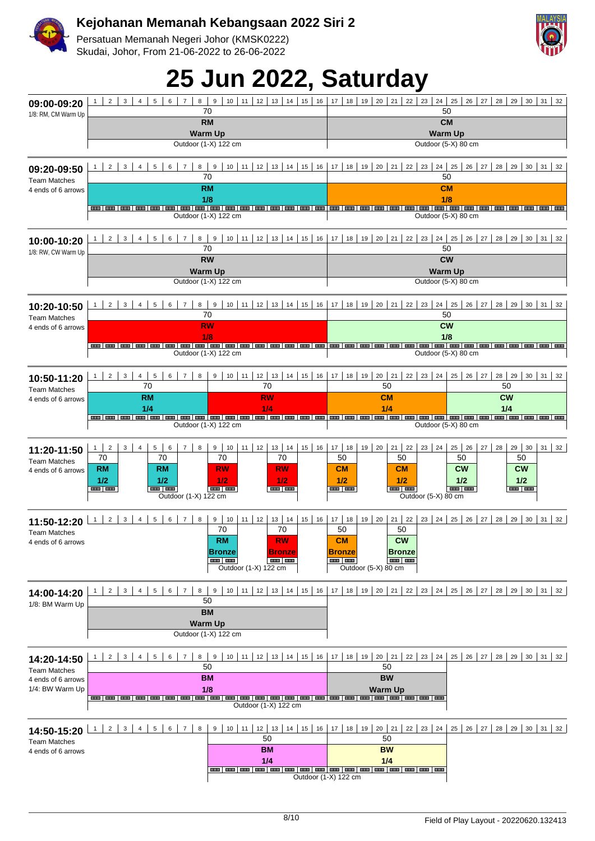

Persatuan Memanah Negeri Johor (KMSK0222) Skudai, Johor, From 21-06-2022 to 26-06-2022

# **25 Jun 2022, Saturday**

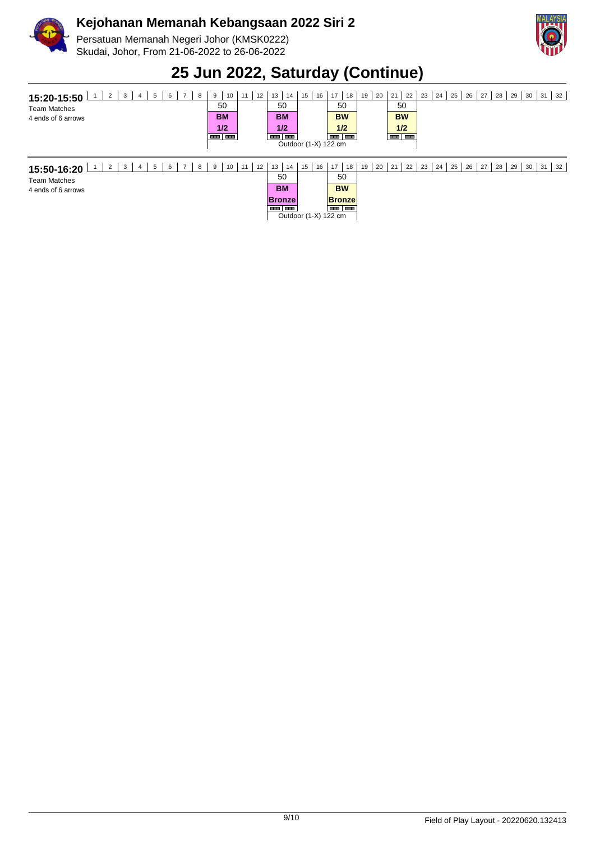

Team Matches 4 ends of 6 arrows

#### **Kejohanan Memanah Kebangsaan 2022 Siri 2**

Persatuan Memanah Negeri Johor (KMSK0222) Skudai, Johor, From 21-06-2022 to 26-06-2022



## **25 Jun 2022, Saturday (Continue)**

| 2<br>6<br>3<br>8<br>15:20-15:50<br>4<br><b>Team Matches</b><br>4 ends of 6 arrows | 10 <sup>1</sup><br>9<br>50<br><b>BM</b><br>1/2<br><b>BANK BANK</b> | 12<br>11 | 13<br>14<br>50<br><b>BM</b><br>1/2<br><b>BOW HOME</b> | 15<br>16<br>Outdoor (1-X) 122 cm | 18<br>17<br>50<br><b>BW</b><br>1/2<br><b>HER HER</b> | 19<br>20 | 21<br>22<br>50<br><b>BW</b><br>1/2<br><b>HIM HIM</b> | 23 I | 24 | 25              | 26<br>27 | 28 | 29 | 30 | 31<br>32 |  |
|-----------------------------------------------------------------------------------|--------------------------------------------------------------------|----------|-------------------------------------------------------|----------------------------------|------------------------------------------------------|----------|------------------------------------------------------|------|----|-----------------|----------|----|----|----|----------|--|
| -6<br>$\overline{2}$<br>3<br>8<br>15:50-16:20                                     | 10 <sup>1</sup><br>9                                               | 12<br>11 | 13<br>14                                              | 15<br>16                         | 17<br>18                                             | 20<br>19 | 21<br>22                                             | 23   | 24 | 25 <sub>1</sub> | 27<br>26 | 28 | 29 | 30 | 32<br>31 |  |

| 5 | 6 | 8 | 9 | 10 | 11 | 12 | 13        | 14            | 15 | 16 |                      | 18 |
|---|---|---|---|----|----|----|-----------|---------------|----|----|----------------------|----|
|   |   |   |   |    |    |    | 50        |               |    |    | 50                   |    |
|   |   |   |   |    |    |    | <b>BM</b> |               |    |    | <b>BW</b>            |    |
|   |   |   |   |    |    |    |           | <b>Bronze</b> |    |    | <b>Bronze</b>        |    |
|   |   |   |   |    |    |    |           |               |    |    |                      |    |
|   |   |   |   |    |    |    |           |               |    |    | Outdoor (1-X) 122 cm |    |